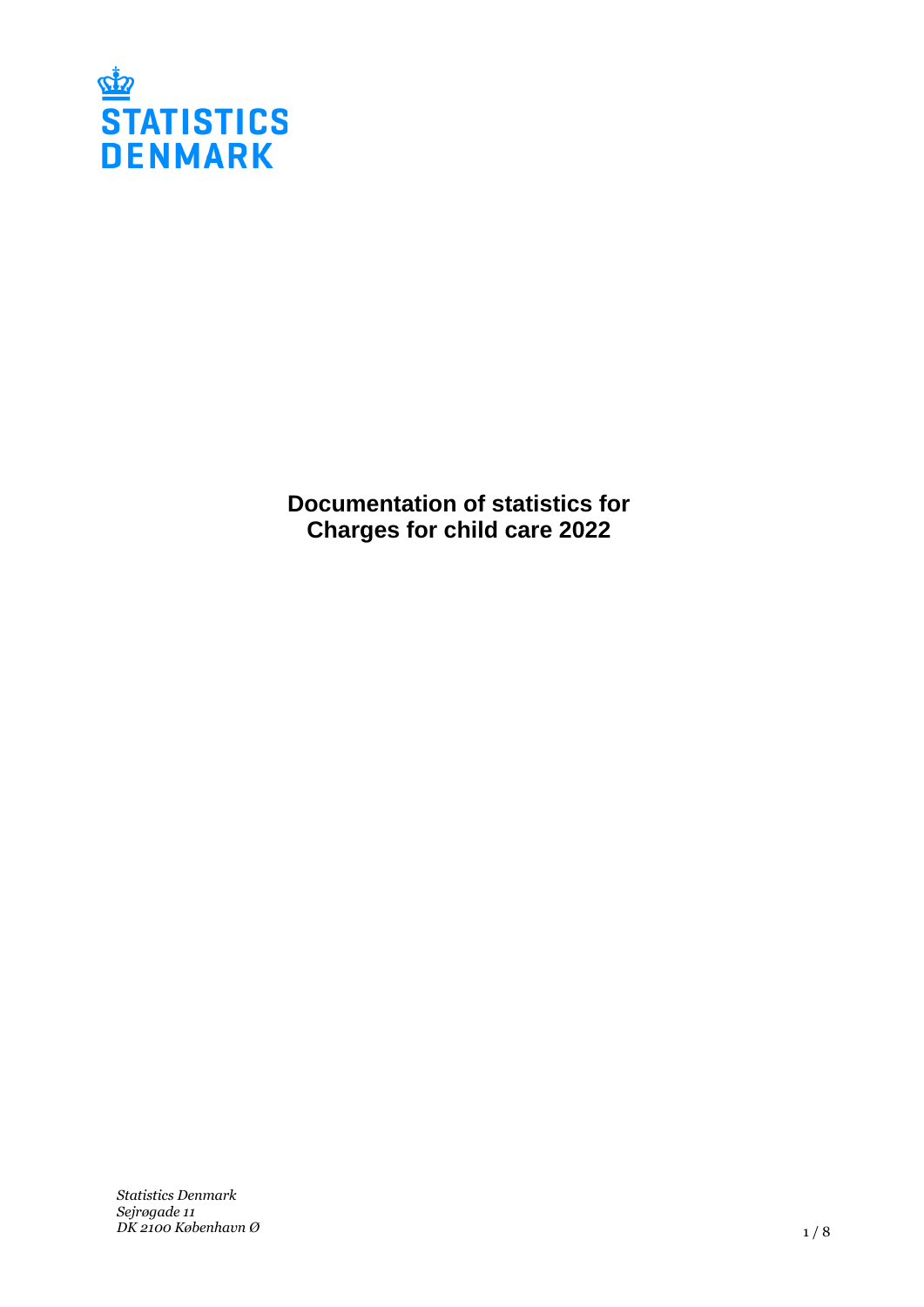

**Documentation of statistics for Charges for child care 2022**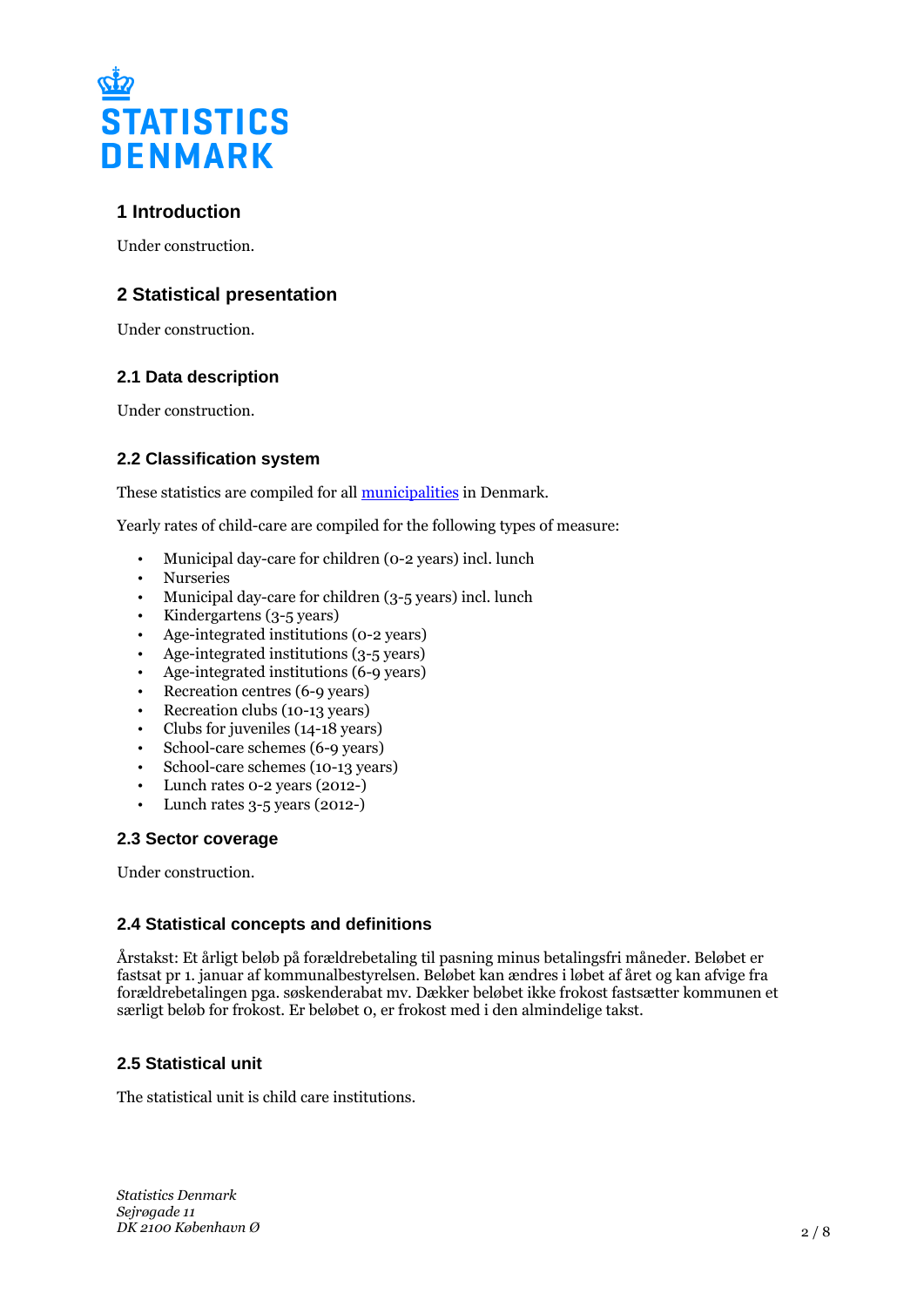

# **1 Introduction**

Under construction.

## **2 Statistical presentation**

Under construction.

### **2.1 Data description**

Under construction.

## **2.2 Classification system**

These statistics are compiled for all [municipalities](https://www.dst.dk/en/Statistik/dokumentation/nomenklaturer/regioner--landsdele-og-kommuner) in Denmark.

Yearly rates of child-care are compiled for the following types of measure:

- Municipal day-care for children (0-2 years) incl. lunch
- Nurseries
- Municipal day-care for children (3-5 years) incl. lunch
- Kindergartens (3-5 years)
- Age-integrated institutions (0-2 years)
- Age-integrated institutions (3-5 years)
- Age-integrated institutions (6-9 years)
- Recreation centres (6-9 years)
- Recreation clubs (10-13 years)
- Clubs for juveniles (14-18 years)
- School-care schemes (6-9 years)
- School-care schemes (10-13 years)
- Lunch rates 0-2 years (2012-)
- Lunch rates  $3-5$  years (2012-)

### **2.3 Sector coverage**

Under construction.

### **2.4 Statistical concepts and definitions**

Årstakst: Et årligt beløb på forældrebetaling til pasning minus betalingsfri måneder. Beløbet er fastsat pr 1. januar af kommunalbestyrelsen. Beløbet kan ændres i løbet af året og kan afvige fra forældrebetalingen pga. søskenderabat mv. Dækker beløbet ikke frokost fastsætter kommunen et særligt beløb for frokost. Er beløbet 0, er frokost med i den almindelige takst.

## **2.5 Statistical unit**

The statistical unit is child care institutions.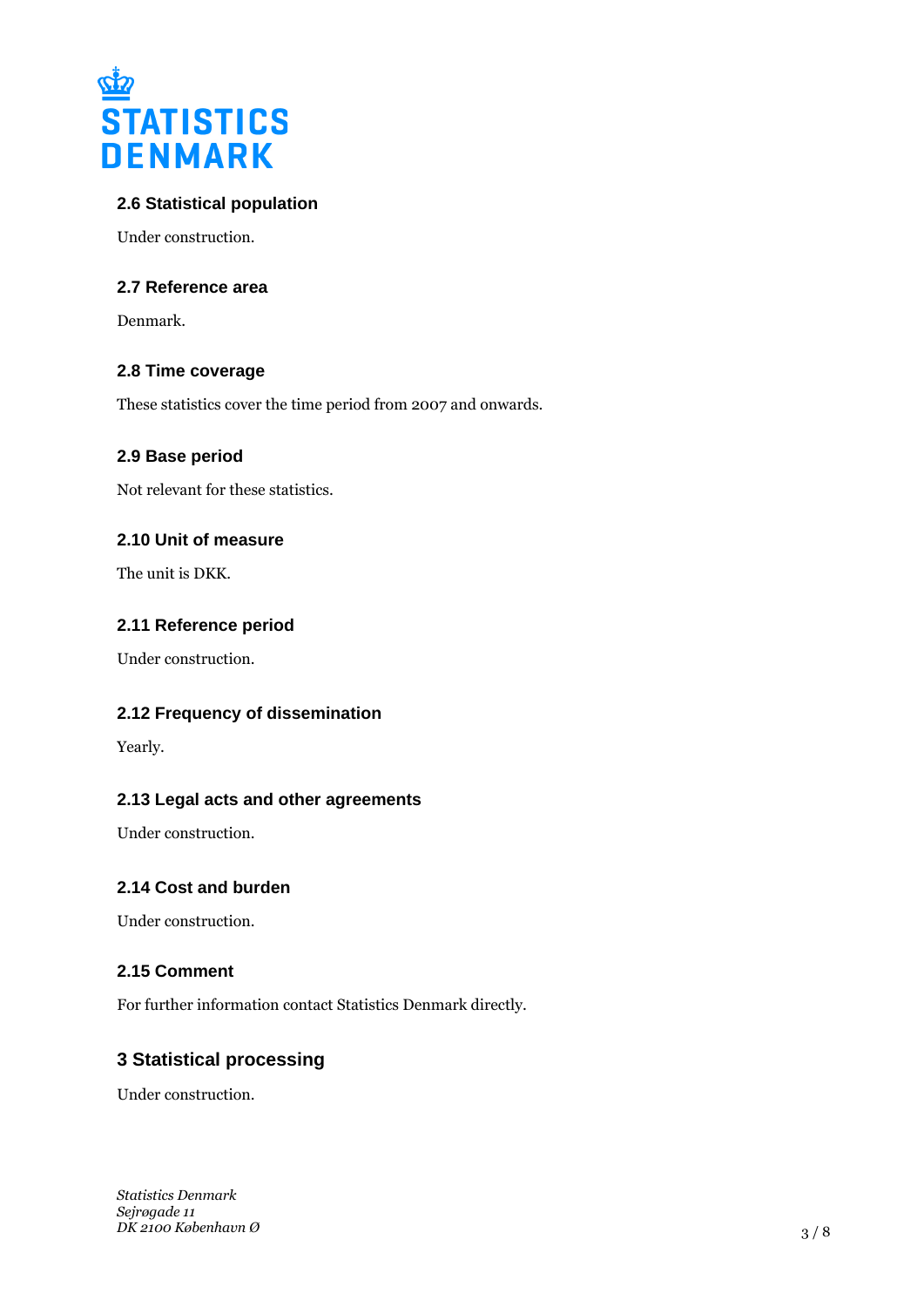

## **2.6 Statistical population**

Under construction.

### **2.7 Reference area**

Denmark.

## **2.8 Time coverage**

These statistics cover the time period from 2007 and onwards.

### **2.9 Base period**

Not relevant for these statistics.

### **2.10 Unit of measure**

The unit is DKK.

### **2.11 Reference period**

Under construction.

### **2.12 Frequency of dissemination**

Yearly.

### **2.13 Legal acts and other agreements**

Under construction.

### **2.14 Cost and burden**

Under construction.

### **2.15 Comment**

For further information contact Statistics Denmark directly.

## **3 Statistical processing**

Under construction.

*Statistics Denmark Sejrøgade 11 DK 2100 København Ø*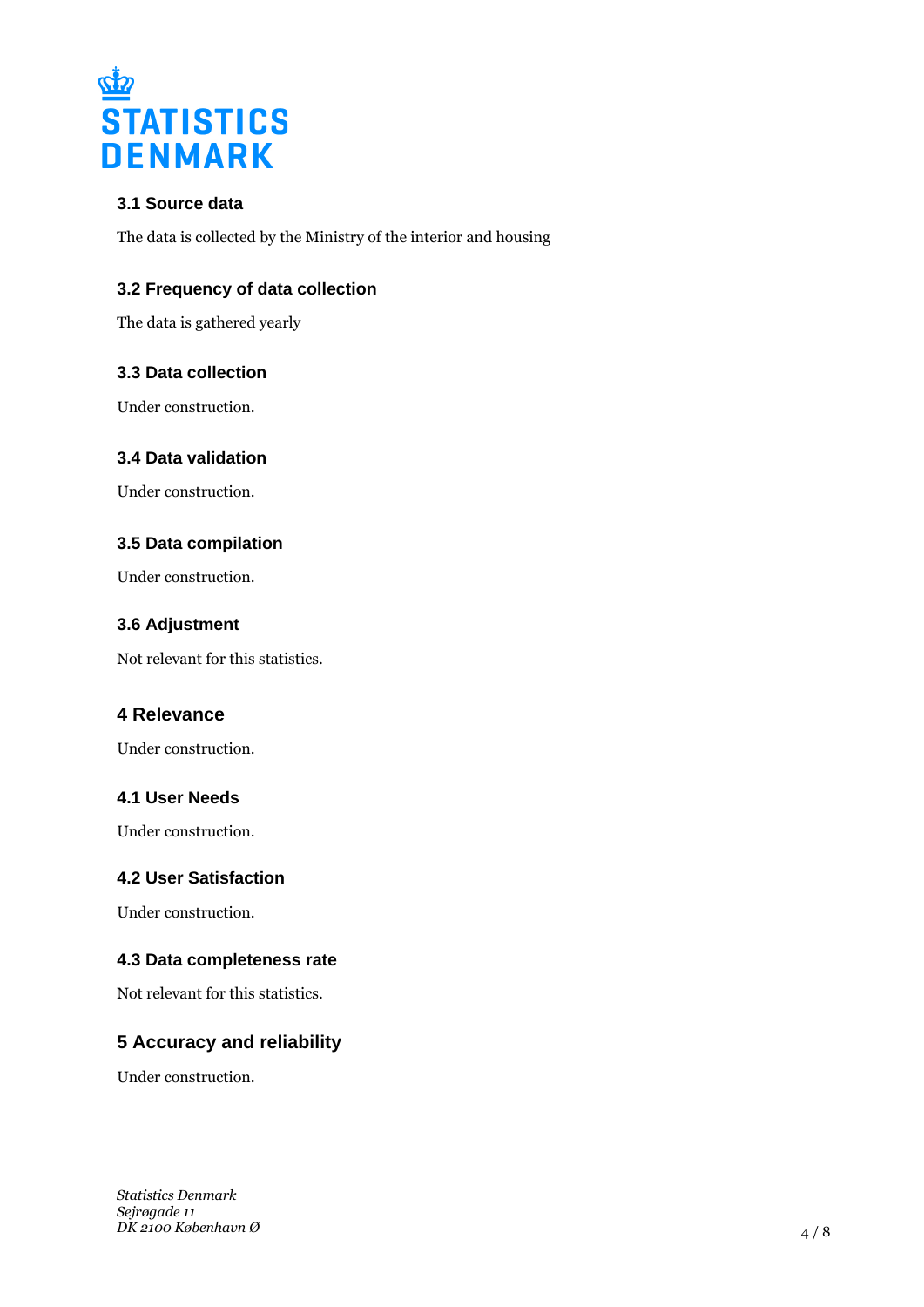

## **3.1 Source data**

The data is collected by the Ministry of the interior and housing

## **3.2 Frequency of data collection**

The data is gathered yearly

### **3.3 Data collection**

Under construction.

### **3.4 Data validation**

Under construction.

### **3.5 Data compilation**

Under construction.

### **3.6 Adjustment**

Not relevant for this statistics.

## **4 Relevance**

Under construction.

### **4.1 User Needs**

Under construction.

# **4.2 User Satisfaction**

Under construction.

### **4.3 Data completeness rate**

Not relevant for this statistics.

## **5 Accuracy and reliability**

Under construction.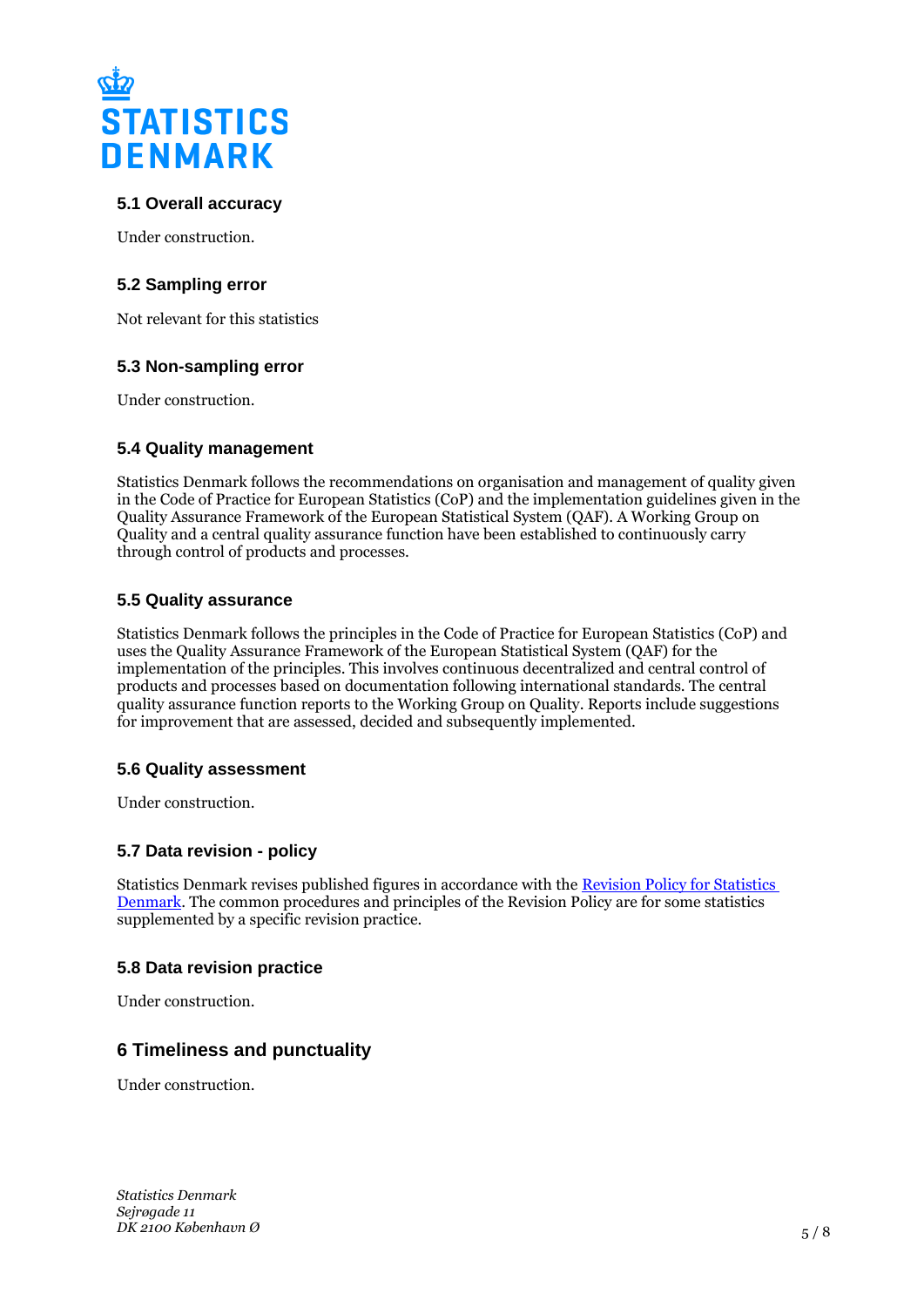

## **5.1 Overall accuracy**

Under construction.

### **5.2 Sampling error**

Not relevant for this statistics

### **5.3 Non-sampling error**

Under construction.

### **5.4 Quality management**

Statistics Denmark follows the recommendations on organisation and management of quality given in the Code of Practice for European Statistics (CoP) and the implementation guidelines given in the Quality Assurance Framework of the European Statistical System (QAF). A Working Group on Quality and a central quality assurance function have been established to continuously carry through control of products and processes.

#### **5.5 Quality assurance**

Statistics Denmark follows the principles in the Code of Practice for European Statistics (CoP) and uses the Quality Assurance Framework of the European Statistical System (QAF) for the implementation of the principles. This involves continuous decentralized and central control of products and processes based on documentation following international standards. The central quality assurance function reports to the Working Group on Quality. Reports include suggestions for improvement that are assessed, decided and subsequently implemented.

#### **5.6 Quality assessment**

Under construction.

### **5.7 Data revision - policy**

Statistics Denmark revises published figures in accordance with the [Revision Policy for Statistics](https://www.dst.dk/en/OmDS/strategi-og-kvalitet/revisionspolitik.aspx)  [Denmark.](https://www.dst.dk/en/OmDS/strategi-og-kvalitet/revisionspolitik.aspx) The common procedures and principles of the Revision Policy are for some statistics supplemented by a specific revision practice.

### **5.8 Data revision practice**

Under construction.

## **6 Timeliness and punctuality**

Under construction.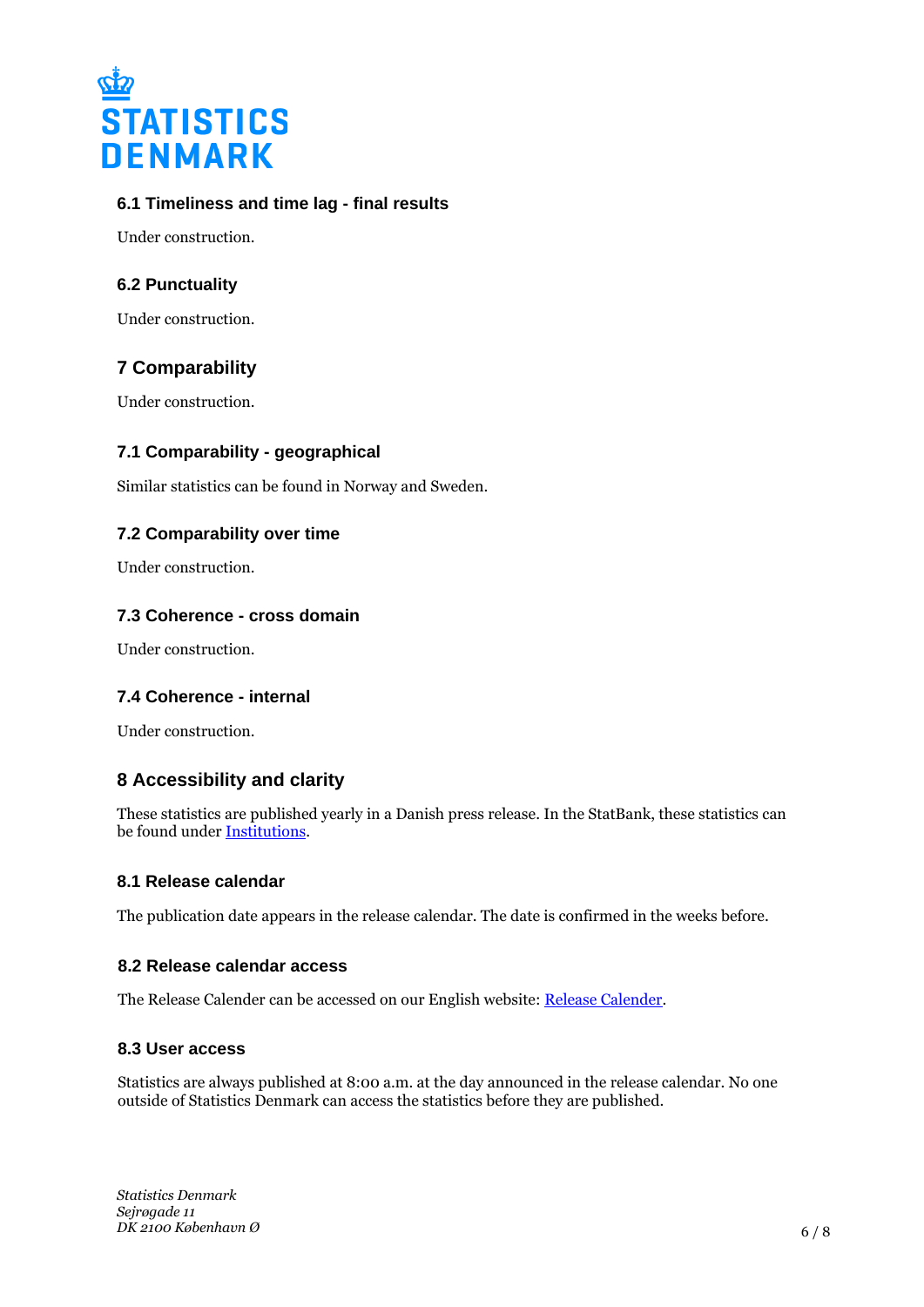

## **6.1 Timeliness and time lag - final results**

Under construction.

## **6.2 Punctuality**

Under construction.

# **7 Comparability**

Under construction.

## **7.1 Comparability - geographical**

Similar statistics can be found in Norway and Sweden.

## **7.2 Comparability over time**

Under construction.

### **7.3 Coherence - cross domain**

Under construction.

### **7.4 Coherence - internal**

Under construction.

## **8 Accessibility and clarity**

These statistics are published yearly in a Danish press release. In the StatBank, these statistics can be found under [Institutions](https://www.statbank.dk/10557).

#### **8.1 Release calendar**

The publication date appears in the release calendar. The date is confirmed in the weeks before.

#### **8.2 Release calendar access**

The Release Calender can be accessed on our English website: [Release Calender.](https://www.dst.dk/en/Statistik/offentliggoerelser.aspx)

#### **8.3 User access**

Statistics are always published at 8:00 a.m. at the day announced in the release calendar. No one outside of Statistics Denmark can access the statistics before they are published.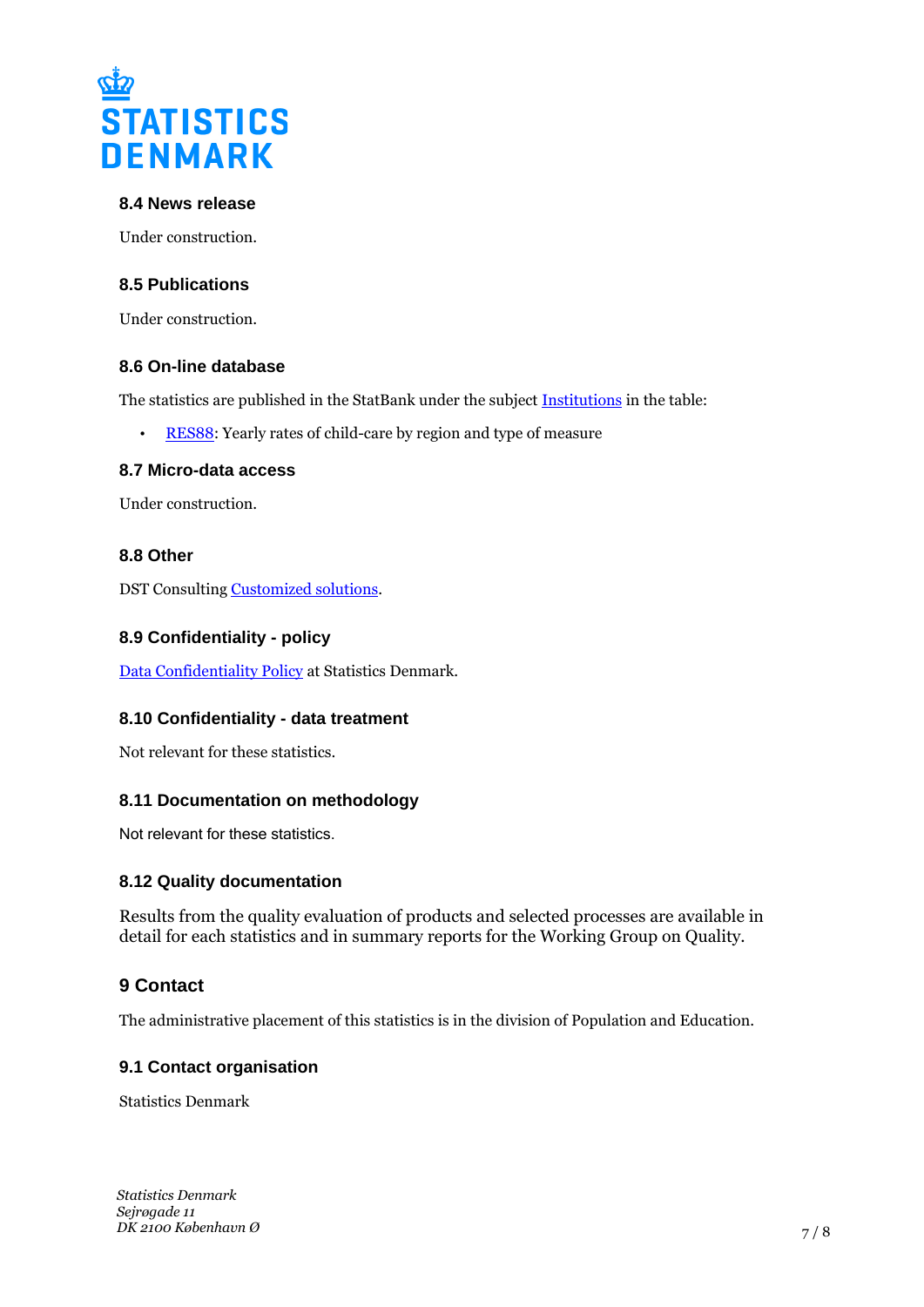

#### **8.4 News release**

Under construction.

### **8.5 Publications**

Under construction.

#### **8.6 On-line database**

The statistics are published in the StatBank under the subject [Institutions](http://www.statbank.dk/10557) in the table:

[RES88:](https://www.statbank.dk/RES88) Yearly rates of child-care by region and type of measure

#### **8.7 Micro-data access**

Under construction.

### **8.8 Other**

DST Consulting [Customized solutions.](https://www.dst.dk/en/TilSalg/skraeddersyede-loesninger)

#### **8.9 Confidentiality - policy**

[Data Confidentiality Policy](https://www.dst.dk/ext/502998790/0/formid/data-confidentiality-policy-at-statistics-denmark--pdf) at Statistics Denmark.

#### **8.10 Confidentiality - data treatment**

Not relevant for these statistics.

#### **8.11 Documentation on methodology**

Not relevant for these statistics.

#### **8.12 Quality documentation**

Results from the quality evaluation of products and selected processes are available in detail for each statistics and in summary reports for the Working Group on Quality.

## **9 Contact**

The administrative placement of this statistics is in the division of Population and Education.

#### **9.1 Contact organisation**

Statistics Denmark